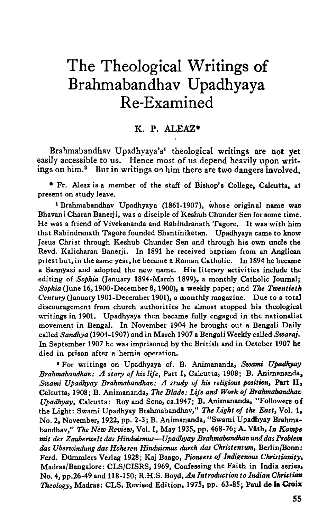# The Theological Writings of Brahmabandhav Upadhyaya Re-Examined

# K. P. ALEAZ\*

Brahmabandhav Upadhyaya's1 theological writings are not yet easily accessible to us. Hence most of us depend heavily upon writings on him.<sup>2</sup> But in writings on him there are two dangers involved,

• Fr. Aleaz is a member of the staff of Bishop's College, Calcutta, at present on study leave.

1 Brahmabandhav Upadhyaya (1861-1907), whose original name was Bhavani Charan Banerji, was a disciple of Keshub Chunder Sen for some time. He was a friend of Vivekananda and Rabindranath Tagore. It was with him that Rabindranath Tagore founded Shantiniketan. Upadhyaya came to know Jesus Christ through Keshub Chunder Sen and through his own uncle the Revd. Kalicharan Banerji. In 1891 he received baptism from an Anglican priestbut,in the same year, he became a Roman Catholic. In 1894 he became a Sannyasi and adopted the new name. His literary activities include the editing of Sophia (January 1894-March 1899), a monthly Catholic Journal; *Sophia* (June 16, 1900-December 8, 1900), a weekly paper; and The *Twentieth Century* (January 1901-December 1901), a monthly magazine. Due to a total discouragement from church authorities he almost stopped his theological writings in 1901. Upadhyaya then became fully engaged in the nationalist movement in Bengal. In November 1904 he brought out a Bengali Daily called *Sandhya* (1904-1907) and in March 1907 a Bengali Weekly called *Swaraj.*  In September 1907 he was imprisoned by the British and in October 1907 he died in prison after a hernia operation.

t For writings on Upadhyaya cf. B. Animananda, *Swami Upadhyay Brahmabatulhav: A siory of his life,* Part I, Calcutta, 1908; B. Animananda, *Swami Upadhyay Brahmabandhav: A study of his religious position,* Part II, Calcutta, 1908; B. Animananda, *The Blade: Life and· Work of Brahmabandhav Upadhyay,* Calcutta: Roy and Sons, ca.1947; B. Animananda, "Followers of the Light: Swami Upadhyay Brahmabandhav," The *Light of the East,* Vol. 1, No.2, November, 1922, pp. 2-3; B. Animananda, "Swami Upadhyay Brahmabandhav," *The New Review,* Vol. I, May 1935, pp. 468-76; A. Viith, *In Kampe mit der Zauberwelt das Hinduismus-Upadhyay Brahmabandhavund das PToblem das Uberwindung das Hoheren Hinduismus durch das Christentum,* Berlin/Bonn: Ferd. Dümmlers Verlag 1928; Kaj Baago, *Pioneers of Indigenous Christianity*, Madras/Bangalore: CLS/CISRS, 1969, Confessing the Faith in India series, No.4, pp.26-49 and 118-150; R.H.S. Boyd, *An Introduction to Indian Chrisium Theology,* Madras: CLS, Revised Edition, 1975, pp. 63-85; Paul de Ia Croix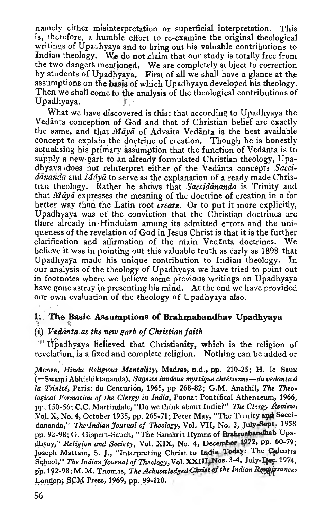namely either misinterpretation or superficial interpretation. This is, therefore, a humble effort to re-examine the original theological writings of Upachyaya and to bring out his valuable contributions to Indian theology. We do not claim that our study is totally free from the two dangers mentioned. We are completely subject to correction by students of Upadhyaya. First of all we shall have a glance at the assumptions on the basis of which Upadhyaya developed his theology. Then we shall come to the analysis of the theological contributions of Upadhyaya.

What we have discovered is this: that according to Upadhyaya the Vedanta conception of God and that of Christian belief are exactly the same, and that *Māyā* of Advaita Vedānta is the best available concept to explain the doctrine of creation. Though he is honestly aotualising his primary assumption that the function of Vedanta is to supply a new· garb to an already formulated Christian theology, Upadhyaya does not reinterpret either of the Vedanta concepts Saccidananda and Maya to serve as the explanation of a ready made Christran theology. Rather he shows that *Saccidananda* is Trinity and that *Māyā* expresses the meaning of the doctrine of creation in a far better way than the Latin root *creare*. Or to put it more explicitly, Upadhyaya was of the conviction that the Christian doctrines are there already in· Hinduism among its admitted errors and the uniqueness of the revelation of God in Jesus Christ is that it is the further clarification and affirmation of the main Vedanta doctrines. We believe it was in pointihg out this valuable truth as early as 1898 that Upadhyaya made his unique contribution to Indian theology. In our analysis of the theology of Upadhyaya we have tried to point out in footnotes where we believe some previous writings on Upadhyaya have gone astray in presenting his mind. At the end we have provided our own evaluation of the theology of Upadhyaya also.

#### 1. The Basic Assumptions of Brahmabandhav Upadhyaya

#### (i) *.Vediinta.as the new garb of Christian faith*

... Upadhyaya believed that Christianity, which is the religion of revelation, is a fixed and complete religion. Nothing can be added or

Mense, *Hindu Religious Mentality*, Madras, n.d., pp. 210-25; H. le Saux (=Swami Abhishiktananda), *Sage sse hindoue mystique chTitienne-du vedanta ti*  la Trinité, Paris: du Centurion, 1965, pp 268-82; G.M. Anathil, The Theo*logical Formation of the Clergy in India,* Poona: Pontifical Athenaeum, 1966, pp, 150-56; C.C. Martindale, "Do we think about India?" *The Clergy Review*, Vol. X, No. 4, October 1935, pp. 265-71; Peter May, "The Trinity and Saccidananda," The Indian Journal of Theology, Vol. VII, No. 3, July-Sept. 1958 pp. 92-98; G. Gispert-Sauch, "The Sanskrit Hymns of Brahmabandhab Upadhyay," Religion and Society, Vol. XIX, No. 4, December 1972, pp. 60-79; Joseph Mattam, S. J., "Interpreting Christ to India Today: The Calcutta School," The Indian Journal of Theology, Vol. XXIII<sub>x</sub>Nos. 3-4, July-Dec. 1974, pp, 192-98; M. M. Thomas, *The Acknowledged Christ of the Indian Remaissances* London; SCM Press, 1969, pp. 99-110.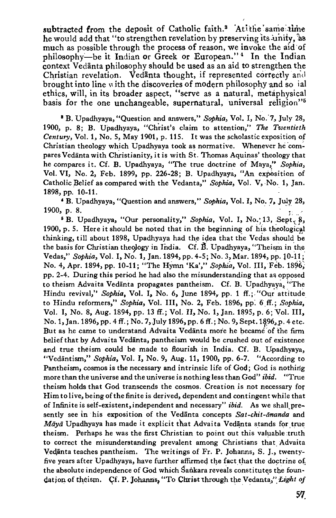subtracted from the deposit of Catholic faith.<sup>8</sup> Atithe same time he would add that "to strengthen revelation by preserving its unity, as much as possible through the process of reason, we invoke the aid of philosophy-be it Indian or Greek or European."<sup>4</sup> In the Indian context Vedanta philosophy should be used as an aid to strengthen the Christian revelation. Vedanta thought, if represented correctly and brought into line with the discoveries of modern philosophy and so ial ethics, will, in its broader aspect, "serve as a natural, metaphysical basis for the one unchangeable, supernatural, universal religion<sup>15</sup>

<sup>8</sup> B. Upadhyaya, "Question and answers," *Sophia*, Vol. I, No. 7, July 28, 1900, p. 8; B. Upadhyaya, "Christ's claim to attention," *The Twentieth Century*, Vol. 1, No. 5, May 1901, p. 115. It was the scholastic exposition of Christian theology which Upadhyaya took as normative. Whenever he compares Vedanta with Christianity, it is with St. Thomas Aquinas' theology that he compares it. Cf. B. Upadhyaya, "The true doctrine of Maya," *Sophia,*  Vol. VI, No. 2, Feb. 1899, pp. 226-28; B. Upadhyaya, "An expesition of Catholic Belief as compared with the Vedanta," Sophia, Vol. V, No. 1, Jan. 1898, pp. 10-11.

' B. Upadhyaya, "Question and answers," *SQjJhia,* Vol. I, No. 7 • July 28, **1900, p. 8.**  $\frac{1}{2}$  **1900, p. 8.**  $\frac{1}{2}$  **1900, p. 8.**  $\frac{1}{2}$ 

<sup>5</sup> B. Upadhyaya, "Our personality," Sophia, Vol. I, No. 13, Sept. 8, 1900, p. 5. Here it should be noted that in the beginning of his theological thinking, till about 1898, Upadhyaya had the idea that the Vedas should be the basis for Christian theology in India. Cf. B. Upadhyaya, "Theism in the. Vedas," *SQjJhia,* Vol. I, No. 1, Jan. 1894, pp. 4-5; No.3, Mar. 1894, pp. 10-11; No.4, Apr. 1894, pp. 10-11; "The HYmn 'Ka'," *Sophia,* Vol. III, Feb. 1896: pp. 2-4. During this period he had also the misunderstanding that a& opposed to theism Advaita Vedānta propagates pantheism. Cf. B. Upadhyaya, "The Hindu revival," *Sophia*, Vol. I, No. 6, June 1894, pp. 1 ff.; "Our attitude to Hindu reformers," *Sophia*, Vol. III, No. 2, Feb. 1896, pp. 6 ff.; *Sophia*, Vol. I, No. 8, Aug. 1894, pp. 13 ff.; Vol. II, No. 1, Jan. 1895, p. 6; Yo!. III, No. 1, Jan. 1896, pp. 4 ff.; No. 7, July 1896, pp. 6 ff.; No. 9, Sept. 1896, p. 4 etc. But as he came to understand Advaita Vedanta more he became of the firm belief that by Advaita Vedanta, pantheism would be crushed out of existence and true theism could be made to flourish in India. Cf. B. Upadhyaya, "Vedäntism," *Sophia*, Vol. I, No. 9, Aug. 11, 1900, pp. 6-7. "According to Pantheism, cosmos is the necessary and intrinsic life of God; God is nothing more than the universe and the universe is nothing less than God" ibid. "True theism holds that God transcends the cosmos. Creation is not necessary for Him to live, being of the finite is derived, dependent and contingent while that of Infinite is self-existent, independent and necessary" *ibid.* As we shall presently see in his exposition of the Vedanta concepts Sat-chit-ananda and *Māyā* Upadhyaya has made it explicit that Advaita Vedānta stands for true theism. Perhaps he was the first Christian to point out this valuable truth to correct the misunderstanding prevalent among Christians that Advaita Vedānta teaches pantheism. The writings of Fr. P. Johanns, S. J., twentyfive years after Upadhyaya, have further affirmed the fact that the doctrine of the absolute independence of God which Sankara reveals constitutes the foundation of theism. Cf. P. Johanns, "To Christ through the Vedanta," *Light of*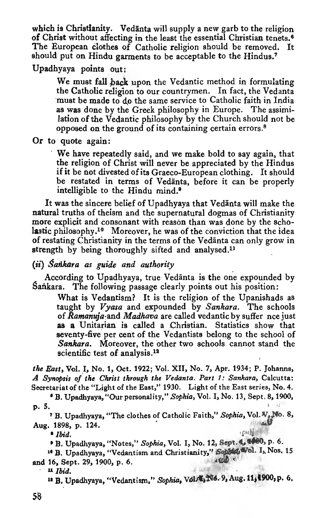which is Christianity. Vedanta will supply a new garb to the religion of Christ without affecting in the least the essential Christian tenets.<sup>6</sup> The European Clothes of Catholic religion should be removed. It should put on Hindu garments to be acceptable to the Hindus.<sup>7</sup>

Upadhyaya points out:

We must fall back upon the Vedantic method in formulating the Catholic religion to our countrymen. In fact, the Vedanta must be made to do the same service to Catholic faith in India as was done by the Greek philosophy in Europe. The assimilation of the Vedantic philosophy by the Church should not be opposed on the ground of its containing certain errors. 8

Or to quote again:

· We have repeatedly said, and we make bold to say again, that the religion of Christ will never be appreciated by the Hindus if it be not divested of its Graeco-European clothing. It should be restated in terms of Vedanta, before it can be properly intelligible to the Hindu mind.<sup>9</sup>

It was the sincere belief of Upadhyaya that Vedanta will make the natural truths of theism and the supernatural dogmas of Christianity more explicit and consonant with reason than was done by the scholastic philosophy.<sup>10</sup> Moreover, he was of the conviction that the idea of restating Christianity in the terms of the Vedanta can only grow in strength by being thoroughly sifted and analysed.<sup>11</sup>

(ii) *Sarikara as guide and authority* 

According to Upadhyaya, true Vedanta is the one expounded by Sankara. The following passage clearly points out his position:

What is Vedantism? It is the religion of the Upanishads as taught by Vyasa and expounded by Sankara. The schools of *Ramanuja:and Madhava* are called vedantic by suffer nee just as a Unitarian is called a Christian. Statistics show that seventy-five per cent of the Vedantists belong to the school of *Sankara.* Moreover, the other two schools cannot stand the scientific test of analysis.<sup>12</sup>

*the East,* Vol. I, No. t, Oct. 1922; Vol. XII, No. 7, Apr. 1934; P. Johanns, *A Synopsis* o/ *the Christ through the Vedanta. Part* 1: *Sankara,* Calcutta: Secretariat of the "Light of the East," 1930. Light of the East series, No. 4.<br> **B. Upadhyaya, "Our personality," Sophia, Vol. I, No. 13, Sept. 8, 1900,** 

**p.** 5.  $\blacksquare$ 

<sup>7</sup> B. Upadhyaya, "The clothes of Catholic Faith," Sophia, Vol. V<sub>o</sub> No. 8,

Aug. 1898, p. 124.<br> **'Ibid. '**B. Upadhyaya, "Notes," *Sophia*, Vol. I, No. 12, Sept. 1, 1900, p. 6.<br> **''B.** Upadhyaya, "Vedantism and Christianity," *Sophia*(Wol. I<sub>s</sub> Nos. 15<br>
and 16. Sept. 29, 1900, p. 6. and 16, Sept. 29, 1900, p. 6.  $\mu$  *H<sub>id</sub>*  $\mu$ 

 $\blacksquare$  *Ibid.*  $\blacksquare$ 

 $\mu$  B. Upadhyaya, "Vedantism," Sophia, Vol. 4, No. 9, Aug. 11, 1900, p. 6,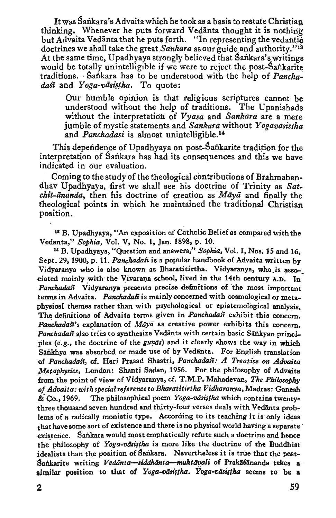It was Sankara's Advaita which he took as a basis to restate Christian thinking. Whenever he puts forward Vedanta thought it is nothing but Advaita Vedanta that he puts forth. "In representing the vedantic doctrines we shall take the *great.Sankara* as our guide and authority."18 At the same time, Upadhyaya strongly believed that Sankara's writings would be totally unintelligible if we were to reject the post-Sankarite traditions. · Sankara has to be understood with the help of *Pancha*dasi and Yoga-vasistha. To quote:

Our humble opinion is that religious scriptures cannot be understood without the help of traditions. The Upanishads without the interpretation of *Vyasa* and *Sankara* are a mere jumble of mystic statements and *Sankara* without *Yogavasistha*  and *Panchadasi* is almost unintelligible.<sup>14</sup>

This dependence of Upadhyaya on post-Sankarite tradition for the interpretation of Sankara has had its consequences and this we have indicated in our evaluation.

Coming to the study of the theological contributions of Brahmabandhav Upadhyaya, first we shall see his doctrine of Trinity as *Satchit-ananda,* then his doctrine of creation as *Maya* and finally the theological points in which he maintained the traditional Christian position.

u B. Upadhyaya, "An exposition of Catholic Belief as compared with the Vedanta," Sophia, Vol. V, No. 1, Jan. 1898, p. 10.

<sup>14</sup> B. Upadhyaya, "Question and answers," Sophia, Vol. I, Nos. 15 and 16. Sept. 29, 1900, p. 11. *Panchadasi* is a popular handbook of Advaita written by Vidyaranya who is also known as Bharatitirtha. Vidyaranya, who.is asso-\_ ciated mainly with the Vivarana school, lived in the 14th century  $A.D.$  In Panchadasi Vidyaranya presents precise definitions of the most important terms in Advaita. Panchadast is mainly concerned with cosmological or metaphysical themes rather than with psychological or epistemological analysis. The definitions of Advaita terms given in *Panchadasi* exhibit this concern. Panchadasi's explanation of Maya as creative power exhibits this concern. Panchadafi also tries to synthesize Vedanta with certain basic Sankyan principles (e.g., the doctrine of the *gunas*) and it clearly shows the way in which Sänkhya was absorbed or made use of by Vedänta. For English translation of *Panchadasi*, cf. Hari Prasad Shastri, *Panchadasi: A Treatise on Advaita Metaphysics,* London: Shanti Sadan, 1956. For the philosophy of Advaita from the point of view of Vidyaranya, cf. T .M.P. Mahsdevan, The *Philosophy of Advaita: with special reference to Bharatitirtha Vidharanya,* Madras: Ganesh &. Co., 1969. The philosophical poem *Yoga-viis#lha* which contains twentythree thousand seven hundred and thirty-four verses deals with Vedanta problems of a radically monistic type. According to its teaching it is only ideas that have some sort of existence and there is no physical world having a separate existence. Sankara would most emphatically refute such a doctrine and hence the philosophy of *Yoga-vasistha* is more like the doctrine of the Buddhist idealists than the position of Sankara. Nevertheless it is true that the post-Sankarite writing *Vedānta-siddhānta-muktāvali* of Prakāśānanda takes a similar position to that of Yoga-vasifha. Yoga-vasifha seems to be a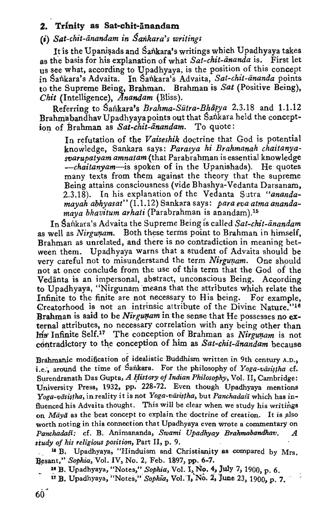# **2. Trinity as Sat-chit-anandam**

## **(i)** *Sat-chit-iinandam in Sankara's writings*

It is the Upanisads and Sankara's writings which Upadhyaya takes as the basis for his explanation of what *Sat-chit-ananda* is. First let us see what, according to Upadhyaya, is the position of this concept in Sankara's Advaita. In Sankara's Advaita, Sat-chit-ananda points to the Supreme Being\_, Brahman. Brahman is *Sat* (Positive Being), *Chit* (Intelligence), *Anandam* (Bliss).

Referring to Sankara's *Brahma-Sūtra-Bhāsya* 2.3.18 and 1.1.12 Brahmabandhav Upadhyaya points out that Sankara held the conception of Brahman as Sat-chit-anandam. To quote:

In refutation of the *Vaiseshik* doctrine that God is potential knowledge, Sankara says: Parasya hi Brahmanah chaitanya*warupatyam amnatam(that* Para brahman is essential knowledge *-chaitanyam-is* spoken of in the Upanishads). He quotes many texts from them against the theory that the supreme Being attains consciousness (vide Bhashya-Vedanta Darsanam, 2.3.18). In his explanation of the Vedanta Sutra *"ananda*mayah abhyasat" (1.1.12) Sankara says: para eva atma ananda*maya bhavitum arhati* (Parabrahman is anandam).<sup>15</sup>

In Sankara's Advaita the Supreme Being is called *Sat-chit-anandam* as well as *Nirgunam*. Both these terms point to Brahman in himself, Brahman as unrelated, and there is no contradiction in meaning between them. Upadhyaya warns that a student of Advaita should be very careful not to misunderstand the term *Nirgunam*. One should not at once conclude from the use of this term that the God of the Vedanta is an impersonal, abstract, unconscious Being. According to Upadhyaya, "Nirgunam means that the attributes which relate the Infinite to the finite are not necessary to His being. For example, Creatorhood is not an intrinsic attribute of the Divine Nature."<sup>16</sup> Brahman is said to be Nirgunam in the sense that He possesses no  $ex$ ternal attributes, no necessary correlation with any being other than his Infinite Self.<sup>17</sup> The conception of Brahman as Nirgunam is not contradictory to the conception of him as Sat-chit-anandam because

Brahmanic modification of idealistic Buddhism written in 9th century A.D., i.e., around the time of Sankara. For the philosophy of Yoga-väsistha cf. Surendranath Das Gupta, *A History of Indian Philosophy*, Vol. II, Cambridge: University Press, 1932, pp. 228-72. Even though Upadhyaya mentions Yoga-vāsistha, in reality it is not *Yoga-vāsistha*, but *Panchadast* which has influenced his Advaita thought. This will be clear when we study his writings on *Māyā* as the best concept to explain the doctrine of creation. It is also worth noting in this connection that Upadhyaya even wrote a commentary on *Panchadafi:* cf. B. Animananda, *Swami Upadhyay Brahmabandhav. A study of his religiaus position,* Part II, p. 9.

<sup>15</sup> B. Upadhyaya, "Hinduism and Christianity as compared by Mrs. Resant," *Sophia*, Vol. IV, No. 2, Feb. 1897, pp. 6-7.<br><sup>18</sup> B. Upadhyaya, "Notes," *Sophia*, Vol. I, No. 4, July 7, 1900, p. 6.

- 
- <sup>17</sup> B. Upadhyaya, "Notes," *Sophia*, Vol. I, No. 2, June 23, 1900, p. 7.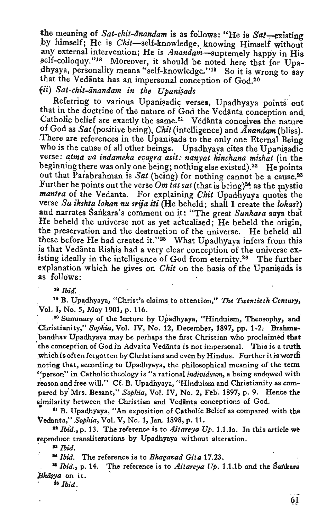the meaning of *Sat-chit-anandam* is as follows: "He is  $Sat$ -existing by himself: He is Chit-self-knowledge, knowing Himself without any external intervention; He is *Anandam-supremely* happy in His self-colloquy."<sup>18</sup> Moreover, it should be noted here that for Upadhyaya, personality means "self-knowledge."<sup>19</sup> So it is wrong to say that the Vedanta has an impersonal conception of God.2o

# $fii)$  Sat-chit-ānandam in the Upanisads

Referring to various Upanisadic verses, Upadhyaya points out that in the doctrine of the nature of God the Vedanta conception and. Catholic belief are exactly the same. 21 Vedanta conceives the nature of God as *Sat* (positive being), *Chit* (intelligence) and *Anandam* (bliss). There are references in the Upanisads to the only one Eternal Being who is the cause of all other beings. Upadhyaya cites the Upanisadic verse: *qtma va indameka evagra asit: nanyat kinchana mishat* (in the beginning there was only one being; nothing else existed).<sup>22</sup> He points out that Parabrahman is *Sat* (being) for nothing cannot be a cause.23 Further he points out the verse Om tat sat (that is being)<sup>24</sup> as the mystic *mantra* of the Vedanta. For explaining *Chit* Upadhyaya quotes the verse *Sa ikshta lokan nu srija iti* (He beheld; shall I create the *lokas?)*  and narrates Sailkara's comment on it: "The great *Sankara* says that He beheld the universe not as yet actualised; He beheld the origin, the preservation and the destruction of the universe. He beheld all these before He had created it."<sup>25</sup> What Upadhyaya infers from this is that Vedanta Rishis had a very clear conception of the universe existing ideally in the intelligence of God from eternity.<sup>26</sup> The further explanation which he gives on *Chit* on the basis of the Upanisads is as follows:

<sup>18</sup>*Ibitl.* 

. "B. Upadhyaya, "Christ's claims to attention," The *Twentieth Century,*  Vol. I, No. 5, May 1901, p. 116.

.~ .•o Summary of the lecture by Upadhyaya, "Hinduism, Theosophy, and ·Christianity," *Sophia,* Vol. IV, No. 12, December, 1897, pp. 1-2; Brahms~ bandhav Upadhyaya may be perhaps the first Christian who proclaimed that 'the conception of God in Advaita Vedanta is not impersonal. This is a truth which is often forgotten by Christians and even by Hindus. Further it is worth noting that, according to Upadhyaya, the philosophical meaning of the term "person" in Catholic theology is "a rational *individuum,* a being endqwed with reason and free will." Cf. B. Upadhyaya, "Hinduism and Christianity as compared by Mrs. Besant," Sophia, Vol. IV, No. 2, Feb. 1897, p. 9. Hence the similarity between the Christian and Vedanta conceptions of God.

<sup>th</sup> B. Upadhyaya, "An exposition of Catholic Belief as compared with the Vedanta," Sophia, Vol. V, No. 1, Jan. 1898, p. 11.

<sup>12</sup> Ibid., p. 13. The reference is to *Aitareya Up.* 1.1.1a. In this article we reproduce transliterations by Upadhyaya without alteration.

. II *Ibid.* 

u *Ibid.* The reference is to *Bhagavad Gita* 17.23.

<sup>14</sup> *Ibid., p.* 14. The reference is to *Aitareya Up.* 1.1.1b and the Sankara *BhiilYa* on it.

 $\triangleq$  *Ibid.*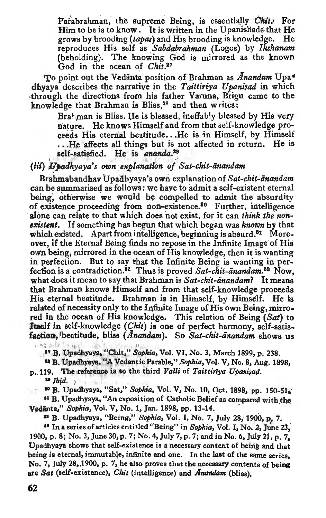Parabrahman, the supreme Being, is essentially *Chit.* For Him to be is to know. It is written in the Upanishads that He<br>grows by brooding (tapas) and His brooding is knowledge. He grows by brooding *(tapas)* and His brooding is knowledge. He reproduces His self as *.Sabdabrahman* (Logos) by *lkshanam*  (beholding). The knowing God is mirrored as the known God in the ocean of *Chit.21* 

To point out the Vedanta position of Brahman as *Anandam* Upa• dhyaya describes the narrative in the *Taittiriya Upanisad* in which through the directions from his father Varuna, Brigu came to the knowledge that Brahman is Bliss,<sup>28</sup> and then writes:

> Bra<sup>t</sup> man is Bliss. He is blessed, ineffably blessed by His very nature. He knows Himself and from that self-knowledge proceeds His eternal beatitude •.. He is in Himself, by Himself  $\ldots$  He affects all things but is not affected in return. He is self-satisfied. He is ananda.<sup>29</sup> self-satisfied. He is ananda.<sup>29</sup>

#### (iii) *Upadhyaya's own explanation of Sat-chit-anandam*

Brahmabandhav Upadhyaya's own explanation of Sat-chit-ānandam can be summarised as follows: we have to admit a self-existent eternal being; otherwise we would be compelled to admit the absurdity of existence proceeding from non-existence.<sup>80</sup> Further, intelligence . alone can relate to that which does not exist, for it can *think the nonexistent.* If something has begun that which began was. *kncwn* by that which existed. Apart from intelligence, beginning is absurd.<sup>81</sup> Moreover, ifthe Eternal Being finds no repose in the Infinite Image of His own being, mirrored in the ocean of His knowledge, then it is wanting in perfection. But to say that the Infinite Being is wanting in perfection is a contradiction.82 Thus is proved *Sat-chit-anandam..88* Now, what does it mean to say that Brahman is *Sat-chit-anandam?* It means that Brahman knows Himself and from that self-knowledge proceeds His eternal beatitude. Brahman is in Himself, by Himself. He is related of necessity only to the Infinite Image of His own Being, mirrored in the ocean of His knowledge. This relation of Being (Sat) to Itself in self-knowledge *(Chit)* is one of perfect harmony, self-satisfaction, beatitude, bliss *(Anandam)*. So *Sat-chit-anandam* shows us

adv by and the family and <sup>2</sup> B. Upadhyaya, "Chit," Sophia, Vol. VI, No. 3, March 1899, p. 238.

<sup>14</sup> B. Upadhyaya, "A Vedantic Parable," *Sophia*, Vol. V, No. 8, Aug. 1898,

p. 119. The reference is to the third *Valli* of *Taittiriya Upanisad*.

<sup>29</sup> *Ibid.* )<br><sup>20</sup> B. Upadhyaya, "Sat," *Sophia*, Vol. V, No. 10, Oct. 1898, pp. 150-51.

<sup>81</sup> B. Upadhyaya, "An exposition of Catholic Belief as compared with the Vedānta," Sophia, Vol. V, No. 1, Jan. 1898, pp. 13-14.

<sup>11</sup> B. Upadhyaya, "Being," Sophia, Vol. I, No. 7, July 28, 1900, p. 7.

<sup>22</sup> In a series of articles entitled "Being" in *Sophia*, Vol. I, No. 2, June 23, 1900, p. 8; No. 3, June 30, p. 7; No.4, July 7, p. 7; and in No. 6, JUly 21, p. 7, Upsdhyaya shows that self-existence is a necessary content of beirig and that being is eternal, immutable, infinite and one. In the last of the same aeries, No. 7, July 28, 1900, p. 7, he also proves that the necessary contents of being are *Sat* (self-existence), *Chit* (intelligence) and *Antmtiam* (bliss),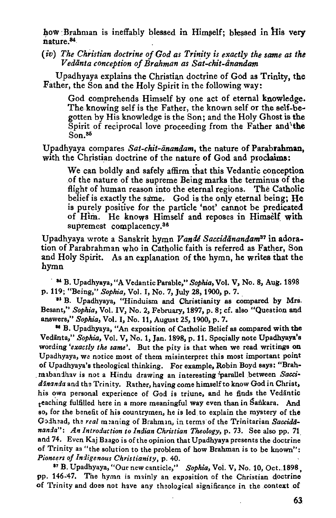how Brahman is ineffably blessed in Himself; blessed in His very nature.<sup>84</sup>.

(iv) The Christian doctrine of God as Trinity is exactly the same as the *Vedanta conception of Brahman as Sat-chit-iinandam* 

. Upadhyaya explains the Christian doctrine of God as Trinity, the Father, the Son and the Holy Spirit in the following way:

God comprehends Himself by one act of eternal knowledge. The knowing self is the Father, the known self or the self-be· gotten by His knowledge is the Son; and the Holy Ghost is the Spirit of reciprocal love proceeding from the Father and the Son.<sup>35</sup>

Upadhyaya compares Sat-chit-ānandam, the nature of Parabrahman, with the Christian doctrine of the nature of God and proclaims:

We can boldly and safely affirm that this Vedantic conception of the nature of the supreme Being marks the terminus of the flight of human reason into the eternal regions. The Catholic belief is exactly the same. God is the only eternal being; He is purely positive for the particle 'not' cannot be predicated of Him. He knows Himself and reposes in Himself with supremest complacency.<sup>36</sup>

Upadhyaya wrote a Sanskrit hymn *Vandl Saccidanandam37* in'adoration of Parabrahman who in Catholic faith is referred as Father, Son and Holy Spirit. As an explanation of the hymn, he writes that the hymn

<sup>1</sup> <sup>34</sup> B. Upadhyaya, "A Vedantic Parable," *Sophia*, Vol. V, No. 8, Aug. 1898 p. 119; "Being," *Sophia,* Vol. I, No.7, July 28, 1900, p. 7.

<sup>31</sup> B. Upadhyaya, "Hinduism and Christianity as compared by Mrs. Besant,'' *Sophia,* Vol. IV, No.2, February, 1897, p. 8; cf. also "Question and answers,'' *Sophia,* Vol. I, No. 11, August 25, 1900, p. 7.

<sup>46</sup> B. Upadhyaya, "An exposition of Catholic Belief as compared with the Vedānta," Sophia, Vol. V, No. 1, Jan. 1898, p. 11. Specially note Upadhyaya's wording *'exactly the same'.* But the pity is that when we read writings on Upadnyaya, wa notice most of them misinterpret this most important point of Upadhyaya's theological thinking. For example, Robin Boyd says: "Brah mabandhav is not a Hindu drawing an interesting 'parallel between Saccidinanda and the Trinity. Rather, having come himself to know God in Christ, his own personal experience of God is triune, and he finds the Vedantic teaching fulfilled nere in a more meaningful way even than in Sailkara. And so, for the benefit of his countrymen, he is led. to explain the mystery of the Godhead, the *real* meaning of Brahman, in terms of the Trinitarian Saccida*nanda": An Introduction io Indian Christian Theology,* p. 73. See also pp. 71. and 74. Even Kaj Baago is of the opinion that Upadhyaya presents the doctrine of Trinity as "the solution to the problem of how Brahman is to be known": *Pioneers of Indigenous Christianity, p. 40.* 17 B. Upadhyaya, "Our new canticle," *Sophia,* Vol. V, No. 10, Oct .. 1898,

pp. 146-47. The hymn is mainly an exposition of the Christian doctrine of Trinity and does not have any theological significance in the context of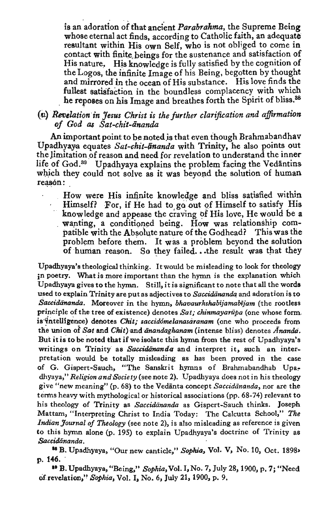is an adoration of that ancient *Parabrahma*, the Supreme Being whose eternal act finds, according to Catholic faith, an adequate resultant within His own Self, who is not obliged to come in contact with finite beings for the sustenance and satisfaction of His nature. His knowledge is fully satisfied by the cognition of the Logos, the infinite Image of his Being, begotten by thought and mirrored in the ocean of His substance. His love finds the fullest satisfaction in the boundless complacency with which he reposes on his Image and breathes forth the Spirit of bliss.<sup>88</sup>

### (u) Revelation in Jesus Christ is the further clarification and affirmation *of God as Sat-chit-ananda*

An important point to be noted is that even though Brahmabandhav Upadhyaya equates *Sat-chit-ananda* with Trinity, he also points out the limitation of reason and need for revelation to understand the inner life of God.<sup>39</sup> Upadhyaya explains the problem facing the Vedantins which they could not solve as it was beyond the solution of human reasón:

How were His infinite knowledge and bliss satisfied within Himself? For, if He had to go out of Himself to satisfy His knowledge and appease the craving of His love, He would be a wanting, a conditioned being. How was relationship compatible with the Absolute nature of the Godhead? This was the problem before them. It was a problem beyond the solution of human reason. So they failed... the result was that they

Upadhyaya's theological thinking. It would be misleading to look for theology jn poetry. What is more important than the hymn is the explanation which Upadhyaya gives to the hymn. Still, it is significant to note that all the words used to explain Trinity are put as adjectives to *Saccidananda* and adoration is to *Saccidananda.* Moreover in the hymn, *bhavaurkshabijamabijam* (the rootless principle of the tree of existence) denotes *Sat; chinmayariipa* (one whose form. is' cintellisence) denotes *Clrit; saccid&melanosaranam* (one who proceeds from the union of *Sat* and *Chit*) and *anandaghanam* (intense bliss) denotes *Ananda*. But it is to be noted that if we isolate this hymn from the rest of Upadhyaya's writings on Trinity as *Saccidananda* and interpret it, such an interpretation would be totally misleading as has been proved in the case of G. Gispert-Sauch, "The Sanskrit hymns of Brahmabandhab Upadhyaya," *Religion and Society* (see.note 2). Upadhyaya does not in his theology give "new meaning" (p. 68) to the Vedanta concept *Saccidiinanda,* nor are the terms heavy with mythological or historical associations (pp. 68-74) relevant to his theology of Trinity as *Saccidiinanda* as Gispert-Sauch thinks. Joseph Mattam, "Interpreting Christ to India Today: The Calcutta School," *The Indian Journal of Theology* (see note 2), is also misleading as reference is given to this hymn alone (p. 195) to explain Upadhyaya's doctrine of Trinity as *Saccidiinanda.* 

<sup>11</sup>B. Upadhyaya, "Our new canticle," *Sophia,* Vol. V, No. 10, Oct. 1898• p. 146.

•• B. Upadhyaya, "Being," *Sophia,* Vol. I, No. 7, July 28, 1900, p, 7; "Need Of. revelation," *Sophia,* Vol. I, *No.6,* July 21, 1900, p. 9.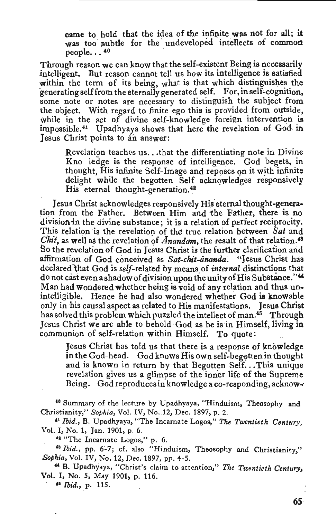came to hold that the idea of the infinite was not for all; it was too subtle for the undeveloped intellects of common people... $40$ 

Through reason we can know that the self-existent Being is necessarily intelligent. But reason cannot tell us how its intelligence is satisfied within the term of its being, what is that which distinguishes the generating self from the eternally generated self. For, in self-cognition, some note or notes are necessary to distinguish the subject from the object. With regard to finite ego this is provided from outside, while in the act of divine self-knowledge foreign intervention is impossible.<sup>41</sup> Upadhyaya shows that here the revelation of God in Jesus Christ points to an answer:

Revelation teaches us... that the differentiating note in Divine Kno ledge is the response of intelligence. God begets, in thought, His infinite Self-Image and reposes on it with infinite delight while the begotten Self acknowledges responsively His eternal thought-generation. 42

Jesus Christ acknowledges responsively His eternal thought-generation from the Father. Between Him and the Father, there is no division in the divine substance; it is a relation of perfect reciprocity. This relation is the revelation of the true relation between *Sat* and *Chit,* as well as the revelation of *Anandam*, the result of that relation.<sup>48</sup> So the revelation of God in Jesus Christ is the further clarification and affirmation of God conceived as Sat-chit-ananda. "Jesus Christ has declared that God is self-related by means of *internal* distinctions that do not cast even a shadow of division upon the unity of His Substance."<sup>44</sup> Man had wondered whether being is void of any relation and thus unintelligible. Hence he had also wondered whether God is knowable only in his causal aspect as related to His manifestations. Jesus Christ has solved this problem which puzzled the intellect of man.<sup>45</sup> Through Jesus Christ we are able to behold God as he is in Himself, living in communion of self-relation within Himself. To quote:

Jesus Christ has told us that there is a response of knowledge in the God-head. God knows His own self-beg9tten in thought and is known in return by that Begotten Self. .. This unique revelation gives us a glimpse of the inner life of the Supreme Being. God reproduces in knowledge a co-responding, acknow--

<sup>40</sup> Summary of the lecture by Upadhyaya, "Hinduism, Theosophy and Christianity," *Sophia,* Vol. IV, No. 12, Dec. 1897, p. 2.

• <sup>1</sup>*Ibid.,* B. Upadhyaya, "The Incarnate Logos," *The Twentieth Century,*  Vol. I, No.1, Jan. 1901, p. 6.

<sup>42</sup> "The Incarnate Logos," p. 6.

<sup>43</sup> *Ibid.*, pp. 6-7; cf. also "Hinduism, Theosophy and Christianity," Sophia, Vol. IV, No. 12, Dec. 1897, pp. 4-5.

" B. Upadhyaya, "Christ's claim to attention," *The Twentieth Century,*  Vol. I, No. 5, May 1901, p. 116.

 $115.$   $115.$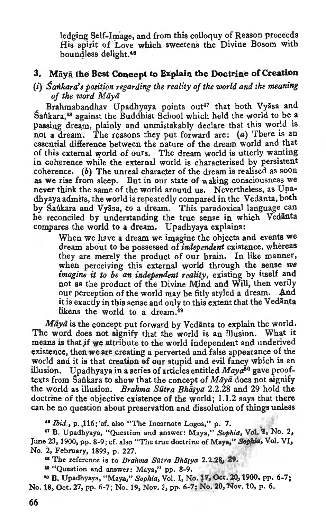ledging Self-Image, and from this colloquy of Reason proceeds His spirit of Love which sweetens the Divine Bosom with boundless delight.<sup>46</sup>

#### **3.** Maya the Best Concept to Explain the Doctrine of Creation

### (i) *Sankara's position regarding the reality of the world and the meaning of the word Miiyii*

Brahmabandhav Upadhyaya points out<sup>47</sup> that both Vyasa and Sankara,<sup>48</sup> against the Buddhist School which held the world to be a passing dream, plainly and unmistakably declare that this world is not a dream. The reasons they put forward are:  $(a)$  There is an essential difference between the nature of the dream world and that of this external world of ours. The dream world is utterly wanting in coherence while the external world is characterised by persistent coherence. (b) The unreal character of the dream is realised as soon as we rise from sleep. But in our state of waking consciousness we never think the same of the world around us. Nevertheless, as Upadhyaya admits, the world is repeatedly compared in the Vedanta, both by Sankara and Vyasa, to a dream. This paradoxical language can be reconciled by understanding the true sense in which Vedanta compares the world to a dream. Upadhyaya explains:

When we have a dream we imagine the objects and events we dream about to be possessed of *independent* existence, whereas they are merely the product of our brain. In like manner, when perceiving this external world through the sense *we imagine it to be an independent reality, existing by itself and* not as the product of the Divine Mind and Will, then verily our perception of the world may be fitly styled a dream. And it is exactly in this sense and only to this extent that the Vedanta likens the world to a dream.<sup>49</sup>

*Māyā* is the concept put forward by Vedanta to explain the world. The word does not signify that the world is an illusion. What it means is that if we attribute to the world independent and underived existence, then we are creating a perverted and false appearance of the world and it is that creation of our stupid and evil fancy which is an illusion. Upadhyaya in a series of articles entitled Maya<sup>50</sup> gave prooftexts from Sankara to show that the concept of Maya does not signify the world as illusion. *Brahma Sūtra Bhāsya* 2.2.28 and 29 hold the doctrine of the objective existence of the world; 1.1.2 says that there can be no question about preservation and dissolution of things unless

<sup>46</sup> *Ibid.*, p.,116; 'cf. also "The Incarnate Logos," p. 7.<br><sup>47</sup> B. Upadhyaya, "Question and answer: Maya," *Sophia*, Vol. 1, No. 2, June 23, 1900, pp. 8-9; cf. also "The true doctrine of Maya," *Sophia,* Vol. VI, No. 2, February, 1899, p. 227.

<sup>48</sup> The reference is to *Brahma Sūtra Bhāsya* 2.2.28, 29.

<sup>49</sup> "Question and answer: Maya," pp. 8-9.<br><sup>50</sup> B. Upadhyaya, "Maya," *Sophia*, Vol. I, No. 17, Oct. 20, 1900, pp. 6-7; No. 18, Oct. 27, pp. 6-7; No. 19, Nov. 3, pp. 6-7; No. 20, Nov. 10, p. 6.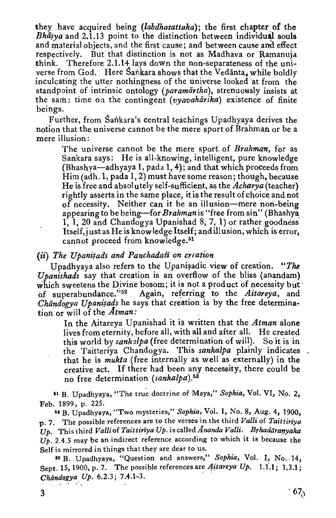they have acquired being *(labdhasattaka);* the first chapter of the Bh $\bar{a}$ ya and 2.1.13 point to the distinction between individual souls and material objects, and the first cause; and between cause and effect respectively. But that distinction is not as Madhava or Ramanuja think. Therefore 2.1.14 lays down the non-separateness of the universe from God. Here Sankara shows that the Vedanta, while boldly inculcating the utter nothingness of the universe looked at from the standpoint of intrinsic ontology (paramartha), strenuously insists at the sam~ time on the contingent ( *vyavahiirika)* existence of finite beings.

Further, from Sankara's central teachings Upadhyaya derives the notion that the universe cannot be the mere sport of Brahman or be a mere illusion:

The universe cannot be the mere sport of *Brahman,* for as Sankara says: He is all-knowing, intelligent, pure knowledge  $(Bhashva—adhvava 1, pada 1, 4)$ ; and that which proceeds from Him (adh. 1, pada 1, 2) must have some reason; though, because He is free and absolutely self-sufficient, as the *Acharya* (teacher) rightly asserts in the same place, it is the result of choice and not of necessity. Neither can it be an illusion-mere non-being appearing to be being-for *Brahman* is "free from sin" (Bhashya 1, 1, 20 and Chandogya Upanishad 8, 7, 1) or rather goodness' Itself, just as He is know ledge Itself; and illusion, which is error, cannot proceed from knowledge.<sup>51</sup>

*(ii)* The Upanisads and Panchadast on creation

Upadhyaya also refers to the Upanisadic view of creation. "The *Upanishads* say that creation is an overflow of the bliss (anandam) which sweetens the Divine bosom; it is not a product of necessity but of superabundance."<sup>52</sup> Again, referring to the *Aitareya*, and Again, referring to the *Aitareya*, and *Chandogya Upanisads* he says that creation is by the free determination or will of the *Atman:* 

In the Aitareya Upanishad it is written that the *Atman* alone lives from eternity, before all, with all and after all. He created this world by *sankalpa* (free determination of will). So it is in the Taitteriya Chandogya. This *sankalpa* plainly indicates that he is *mukta* (free internally as well as externally) in the creative act. If there had been any necessity, there could be no free determination *(sankalpa). <sup>63</sup>*

n B. Upadhyaya, "The true doctrine of Maya," *Sophia,* Vol. VI, No. 2, Feb. 1899, p. 225.

n B. Upadhyaya, "Two mysteries," *Sophia,* Vol. I, No. 8, Aug. 4, 1900, p. 7. The possible references are to the verses in the third *Valli* of *Taittiriva*  $U_p$ . This third *Valli* of *Taittiriya Up.* is called *Ananda Valli.* Brhadāranyaka  $\hat{U_p}$ . 2.4.5 may be an indirect reference according to which it is because the Self is mirrored in things that they are dear to us.

<sup>53</sup> B. Upadhyaya, "Question and answers," *Sophia*, Vol. I, No. 14, Sept. 15, 1900, p. 7. The possible references are *Aitareya Up.* 1.1.1; 1.3.1; *Chiindqgya Up.* 6.2.3; 7.4.1-3. ·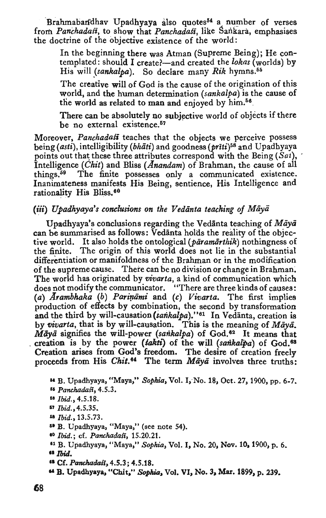Brahmaban'dhav Upadhyaya also quotes $54$  a number of verses from *Panchadafi,* to show that *PanchadaSi,* like Sankara, emphasises the doctrine of the objective existence of the world:

In the beginning there was Atman (Supreme Being); He contemplated : should I create?-and created the *lokas* (worlds) by His will *(sankalpa)*. So declare many *Rik* hymns.<sup>55</sup>

The creative will of God is the cause of the origination of this world, and the human determination *(sankalpa)* is the cause of the world as related to man and enjoyed by  $\lim_{n \to \infty}$ .

There can be absolutely no subjective world of objects if there be no external existence.<sup>57</sup>

Moreover, *Panchadasi* teaches that the objects we perceive possess being ( *asti),* intelligibility ( *bhati)* and goodness (priti)58 and U padhyaya points out that these three attributes correspond with the Being *(Sat)*, Intelligence *(Chit)* and Bliss (*Anandam*) of Brahman, the cause of all things.69 The finite possesses only a communicated existence. Inanimateness manifests His Being, sentience, His Intelligence and rationality His Bliss.<sup>60</sup>

### (iii) *Upadhyaya's conclusions on the Vedanta teaching of Maya*

Upadhyaya's conclusions regarding the Vedanta teaching of *Maya*  can be summarised as follows: Vedanta holds the reality of the objective world. It also holds the ontological *(paramarthik)* nothingness of the finite. The origin of this world does not lie in the substantial differentiation or manifoldness of the Brahman or in the modification of the supreme cause. There can be no division or change in Brahman; The world has originated by *vivarta,* a kind of communication which does not modify the communicator. "There are three kinds of causes: (a) *Arambhaka* (b) Pariņāmi and (c) Vivarta. The first implies production of effects by combination, the second by transformation and the third by will-causation (sankalpa)."<sup>61</sup> In Vedanta, creation is by *flivarta,* that is by will-causation. This is the meaning of *Maya. Maya* signifies the will-power *(sankalpa)* of God.<sup>62</sup> It means that . creation is by the power *(/akti)* of the will *(sarikalpa)* of God.68 Creation arises from God's freedom. The desire of creation freely proceeds from His *Chit.* 8' The term *Maya* involves three truths:

**aa** B. Upadhyaya, "Maya," Sophia, Vol. I,·No. 18, Oct. 27, 1900, pp. 6-7. II *Panchadali,* 4.5.3.

- 
- II *Ibid.,* 4.5.18. <sup>57</sup> Ibid., 4.5.35.
- EB *Ibid.*, 13.5.73.
- II B. Upadhyaya, "Maya," (see note 54).
- 
- <sup>40</sup> Ibid.; cf. *Panchadas*i, 15.20.21.<br><sup>41</sup> B. Upadhyaya, "Maya," Sophia, Vol. I, No. 20, Nov. 10, 1900, p. 6.  $\Pi$  Ibid.
- <sup>68</sup> Cf. *Panchadaši*, 4.5.3; 4.5.18.
- **"B.** Upadhyaya, "Chlt," Sophia, Vol. VI, No. 3, Mar. 1899, p. 239.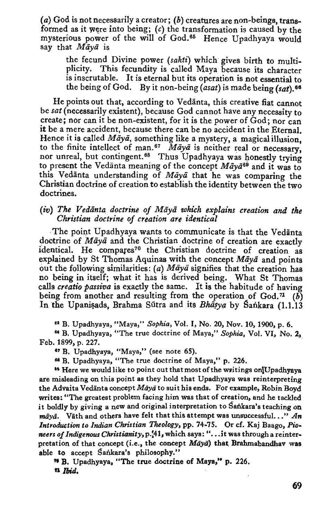(a) God is not necessarily a creator; (b) creatures are non-beings, transformed as it were into being;  $(c)$  the transformation is caused by the mysterious power of the will of God.<sup>65</sup> Hence Upadhyaya would say that *Maya* is

the fecund Divine power *(sakti)* which gives birth to multiplicity. This fecundity is called Maya because its character is inscrutable. It is eternal but its operation is not essential to the being of God. By it non-being *(asat)* is made being *(sat).* <sup>68</sup>

He points out that, according to Vedanta, this creative fiat cannot be *sat* (necessarily existent), because God cannot have any necessity to create; nor can it be non-existent, for it is the power of God; nor can it be a mere accident, because there can be no accident in the Eternal. Hence it is called *Māyā*, something like a mystery, a magical illusion. to the finite intellect of man.<sup>67</sup>  $\overline{M}$ *aya* is neither real or necessary, nor unreal, but contingent.<sup>68</sup> Thus Upadhyaya was honestly trying to present the Vedanta meaning of the concept  $M \bar{a}y \bar{a}^{69}$  and it was to this Vedanta understanding of *Maya* that he was comparing the Christian doctrine of creation to establish the identity between the two doctrines.

#### *(iv) The Vedanta doctrine of Miiyii which explains creation and the Christian doctrine of creation are identical*

-The point Upadhyaya wants to communicate is that the Vedanta doctrine of *Maya* and the Christian doctrine of creation are exactly identical. He compares<sup>70</sup> the Christian doctrine of creation as explained by St Thomas Aquinas with the concept *Maya* and points out the following similarities:  $(a)$  Maya signifies that the creation has no being in itself; what it bas is derived being. What St Thomas calls *creatio passiva* is exactly the same. It is the habitude of having being from another and resulting from the operation of God.<sup>71</sup> (b) In the Upanisads, Brahma Sūtra and its Bhasya by Sankara (1.1.13

n B. Upadhyaya, "Maya," *Sophia,* Vol. I, No. 20, Nov. 10, 1900, p. 6.

" B. Upadhyaya, "The true doctrine of Maya," *Sophia,* Vol. VI, No. 2,\_ Feb. 1899, p. 227 .

<sup>47</sup> B. Upadhyaya, "Maya," (see note 65).

ea B. Upadhyaya, "The true doctrine of Maya," p. 226.

<sup>69</sup> Here we would like to point out that most of the writings on Upadhyaya are misleading on this point as they hold that Upadhyaya was reinterpreting the Advaita Vedānta concept Māyā to suit his ends. For example, Robin Boyd writes: "The greatest problem facing him was that of creation, and he tackled it boldly by giving a new and original interpretation to Sankara's teaching on *māvā.* Väth and others have felt that this attempt was unsuccessful..." An *Introduction to Indian Christian Theology,* pp. 74-75. Or cf. Kaj Baago, *Pioneers of Indigenous Christianity, p.*'41, which says: "...it was through a reinterpretation of that concept (i.e., the concept *Maya*) that Brahmabandhav was able to accept Sankara's philosophy."

"B. Upadhyaya, "The true doctrine of Maya," p. 226. n Ibid.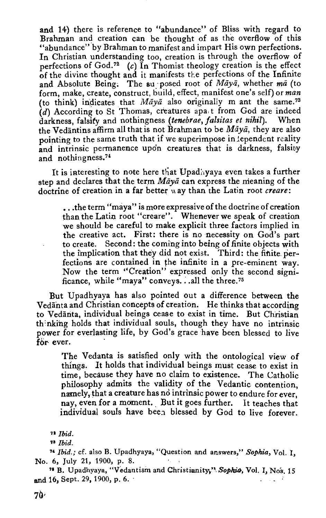and 14) there is reference to "abundance" of Bliss with regard to Brahman and creation can be thought of as the overflow of this "abundance" by Brahman to manifest and impart His own perfections. In Christian understanding too, creation is through the overflow of perfections of God.<sup>72</sup> (c) In Thomist theology creation is the effect of the divine thought and it manifests the perfections of the Infinite and Absolute Being. The su posed root of *Maya*, whether ma (to form, make, create, construct, build, effect, manifest one's self) or *man*  (to think) indicates that *Māyā* also originally m ant the same.<sup>73</sup>  $(d)$  According to St Thomas, creatures apa t from God are indeed darkness, falsity and nothingness *(tenebrae, falsitas et nihil).* When the Vedantins affirm all that is not Brahman to be *Maya*, they are also pointing to the same truth that if we superimpose in lependent reality and intrinsic permanence upon creatures that is darkness, falsity and nothingness.<sup>74</sup>

It is interesting to note here that Upadhyaya even takes a further step and declares that the term *Maya* can express the meaning of the doctrine of creation in a far better way than the Latin root *creare*:

•.. the term "maya" is more expressive of the doctrine of creation than the Latin root "creare". Whenever we speak of creation we should be careful to make explicit three factors implied in the creative act. First: there is no necessity on God's part to create. Second: the coming into being of finite objects with the implication that they did not exist. Third: the finite perfections are contained in the infinite in a pre-eminent way. Now the term ''Creation" expressed only the second significance, while "maya" conveys. . .all the three.<sup>75</sup>

But Upadhyaya has also pointed out a difference between the Vedanta and Christian concepts of creation. He thinks that according to Vedanta, individual beings cease to exist in time. But Christian thinking holds that individual souls, though they have no intrinsic power for everlasting life, by God's grace have been blessed to live for ever.

The Vedanta is satisfied only with the ontological view of things. It holds that individual beings must cease to exist in time, because they have no claim to existence. The Catholic philosophy admits the validity of the Vedantic contention, namely, that a creature has no intrinsic power to endure for ever, nay, even for a moment. But it goes further. It teaches that individual souls have been blessed by God to live forever.

n *Ibid.* 

<sup>&#</sup>x27;" Ibid.

*<sup>&</sup>quot;Ibid.;* cf. also B. Upadhyaya, "Question and answers," *Sophia,* Vol. I, No. 6, July 21, 1900, p. 8.

<sup>&</sup>lt;sup>76</sup> B. Upadhyaya, "Vedantism and Christianity," Sophia, Vol. I, Nos. 15 and 16, Sept. 29, 1900, p. 6.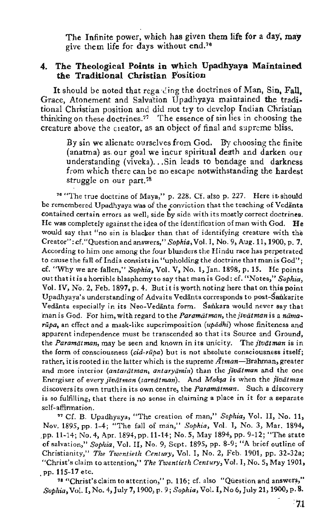The Infinite power, which has given them life for a day, may give them life for days without end.<sup>76</sup>

### 4. The Theological Points in which Upadhyaya Maintained the Traditional Christian Position

It should be noted that regarding the doctrines of Man, Sin, Fall, Grace, Atonement and Salvation Upadhyaya maintained the traditional Christian position and did not try to develop Indian Christian thinking on these doctrines.77 The essence of sin lies in choosing the creature above the creator, as an object of final and supreme bliss.

By sin we alienate ourselves from God. By choosing the finite (anatma) as. our goal we incur spiritual death and darken our understanding (viveka)... Sin leads to bondage and darkness from which there can be no escape notwithstanding the hardest struggle on our part.<sup>78</sup>

<sup>76</sup> "The true doctrine of Maya," p. 228. Cf. also p. 227. Here it should be remembered Upadhyaya was of the conviction that the teaching of Vedanta contained certain errors as well, side by side with its mostly correct doctrines. He was completely against the idea of the identification of man with God, He would say that "no sin is blacker than that of identifying creature with the Creator": cf."Question and answers," Sophia, Vol. I, No. 9, Aug. 11, 1900, p. 7. According to him one among the four blunders the Hindu race has perpetrated to cause the fall of India consists in "upholding the doctrine that man is God"; cf. "Why we are-fallen," *Sophia,* Vol. V, No. 1, Jan. 1898, p. 15. He points out that it is a horrible blasphemy to say that man is God: cf. "Notes," *Sophia,*  Vol. IV, No.2, Feb. 1897, p. 4. But it is worth noting here that on this point Upadhyaya's understanding of Advaita Vedanta corresponds to post-Sankarite Vedanta especially in its Neo-Vedanta form. Sankara would never say that man is God. For him, with regard to the *Paramatman*, the *jivatman* is a namarūpa, an effect and a mask-like superimposition *(upādhi)* whose finiteness and apparent independence must be transcended so that its Source and Ground, the *Paramat man*, may be seen and known in its unicity. The *jivat man* is in the form of consciousness *(cid-riipa)* but is not absolute consciousness itself; rather, it is rooted in the latter which is the supreme  $\tilde{A}$ tman—Brahman, greater and more interior *(antaratman, antaryamin)* than the *jiviitman* and the one Energiser of every *jivātman* (sarvātman). And Moksa is when the *jivātman* discovers its own truth in its own centre, the *Paramatman.* Such a discovery is so fulfilling, that there is no sense in claiming a place in it for a separate self-affirmation.

" Cf. B. Upadhyaya, "The creation of man," *Sophia,* Vol. II, No. 11, Nov. 1895, pp. 1-4; "The fall of man," *Sophia,* Vol. I, No. 3, Mar. 1894, ,pp. 11-14; No.4, Apr. 1894, pp. 11-14; No.5, May 1894, pp. 9-12; "The state of salvation," *Sophia ,* Vol. II, No. 9, Sept. 1895, pp. 8-9; "A brief outline of Christianity," *The Twentieth Century,* Vol. I, No. 2, Feb. 1901, pp. 32-32a; "Christ's claim to attention," *The Twentieth Century,* Vol. I, No. 5, May 1901, . pp. 115-17 etc.

a "Cnrist'sclaim to attention," p. 116; cf. also "Question and answers," *Sophia,* Vol. I, No.4, July 7, 1900, p. 9; *Sophia,* Vol. I, No 6, July 21, 1900, p. 8.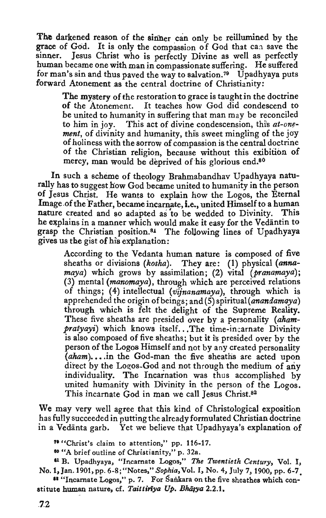The darkened reason of the sinner can only be reillumined by the grace of God. It is only the compassion of God that can save the sinner. Jesus Christ who is perfectly Divine as well as perfectly human became one with man in compassionate suffering. He suffered for man's sin and thus paved the way to salvation.<sup>79</sup> Upadhyaya puts forward Atonement as the central doctrine of Christianity:

The mystery of the restoration to grace is taught in the doctrine of the Atonement. It teaches how God did condescend to be united to humanity in suffering that man may be reconciled to him in joy. This act of divine condescension, thi's *at-onrment*, of divinity and humanity, this sweet mingling of the joy of holiness with the sorrow of compassion is the central doctrine of the Christian religion, because without this exibition of mercy, man would be deprived of his glorious end.<sup>80</sup>

In such a scheme of theology Brahmabandhav Upadhyaya naturally has to suggest how God became united to humanity in the person of Jesus Christ. He wants to explain how the Logos, the Eternal Image .of the Father, became incarnate, i.e., united Himself to a human nature created and so adapted as 'to be wedded to Divinity. This he explains in a manner which would make it easy for the Vedantin to grasp the Christian position.<sup>81</sup> The following lines of Upadhyaya gives us the gist of his explanation:

According to the Vedanta human nature is composed of five sheaths or divisions *(kosha).* They are: (1) physical *(annamaya)* which grows by assimilation; (2) vital *(pranamaya);*  (3) mental *(manomaya),* through which are perceived relations of things; (4) intellectual *(vijnanamaya)*, through which is apprehended the origin of beings; and (5) *spiritual(anandamaya)*  through which is felt the delight of the Supreme Reality. These five sheaths are presided over by a personality *(ahampratyayi*) which knows itself... The time-incarnate Divinity is also composed of five sheaths; but it is presided over by the person of the Logos Himself and not by any created personality (*aham*)...in the God-man the five sheaths are acted upon direct by the Logos-God and not through the medium of any individuality. The Incarnation was thus accomplished by united humanity with Divinity in the person of the Logos. This incarnate God in man we call Jesus Christ.<sup>82</sup>

We may very well agree that this kind of Christological exposition has fully succeeded in putting the already formulated Christian doctrine in a Vedanta garb. Yet we believe that Upadhyaya's explanation of

71 "Christ's claim to attention," pp. 116-17.

so "A brief outline of Christianity," p. 32a.

11 B. Upadhyaya, "Incarnate Logos," *The Twentieth Century,* Vol. I, No.1, Jan. 1901, pp. 6-8; "Notes," *Sophia,* Vol. I, No.4, July 7, 1900, pp. 6-7.

<sup>88</sup> "Incarnate Logos," p. 7. For Sankara on the five sheathes which constitute human nature, cf. *Taittiriya Up. Bhāsya* 2.2.1,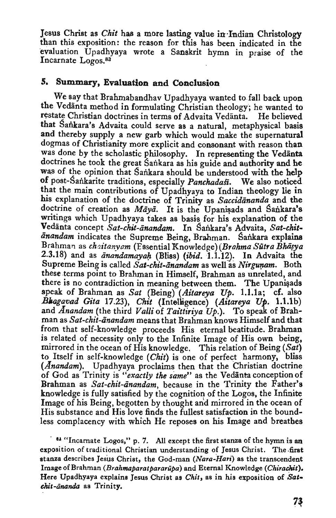Jesus Christ as *Chit* has a more lasting value in Indian Christology than this exposition: the reason for this has been indicated in the evaluation Upadhyaya wrote a Sanskrit hymn in praise of the Incarnate Logos.<sup>83</sup>

#### *5.* **Snmmary, Evaluation and Conclusion**

We say that Brahmabandhav Upadhyaya wanted to fall back upon the Vedanta method in formulating Christian theology; he wanted to restate Christian doctrines in terms of Advaita Vedanta. He believed that Sankara's Advaita could serve as a natural, metaphysical basis and thereby supply a new garb which would make the supernatural dogmas of Christianity more explicit and consonant with reason than was done by the scholastic philosophy. In representing the Vedanta doctrines he took the great Sankara as his guide and authority and he was of the opinion that Sankara should be understood with the help of post-Sankarite traditions, especially *Panchadasi*. We also noticed that the main contributions of Upadhyaya to Indian theology lie in his explanation of the doctrine of Trinity as *Saccidananda* and the doctrine of creation as *Māyā*. It is the Upanisads and Sankara's writings which Upadhyaya takes as basis for his explanation of the Vedānta concept Sat-chit-ānandam. In Sankara's Advaita, Sat-chit- $\bar{a}$ nandam indicates the Supreme Being, Brahman. Sankara explains Brahman as *chaitanyam* (Essential Knowledge) (Brahma Sütra Bhāṣya 2.3.18) and as *anandamayah* (Bliss) *(ibid.* 1.1.12). In Advaita the Supreme Being is called *Sat-chit-ānandam* as well as *Nirgunam*. Both these terms point to Brahman in Himself, Brahman as unrelated, and there is no contradiction in meaning between them. The Upanisads speak of Brahman as *Sat* (Being) *(Aitareya Up.* l.l.la; cf. also *Bllagavad Gita* 17.23), *Chit* (InteUigence) *(Aitareya Up.* l.l.lb) and *Anandam* (the third Valli of Taittiriya Up.). To speak of Brahman as *Sat-chit-ānandam* means that Brahman knows Himself and that from that self-knowledge proceeds His eternal beatitude. Brahman is related of necessity only to the Infinite Image of His own being, mirrored in the ocean of His knowledge. This relation of Being *(Sat)*  to Itself in self-knowledge *(Chit)* is one of perfect harmony, bliss *(Anandam).* Upadhyaya proclaims then that the Christian doctrine of God as Trinity is *"exactly the same"* as the Vedanta conception of Brahman as *Sat-chit-anandam*, because in the Trinity the Father's knowledge is fully satisfied by the cognition of the Logos, the Infinite Image of his Being, begotten by thought arid mirrored in the ocean of His substance and His love finds the fullest satisfaction in the boundless complacency with which He reposes on his Image and breathes

<sup>84</sup> "Incarnate Logos," p. 7. All except the first stanza of the hymn is an exposition of traditional Christian understanding of Jesus Christ. The first stanza describes Jesus Christ, the God-man *(Nara-Hari)* as the transcendent ImageofBrahman *(Brahmaparatpararupa)* and Eternal Knowledge *(Chirachit).*  Here Upsdhyaya explains Jesus Christ as *Chit,* as in his exposition of *Sat• ehit-mzanda* as Trinity.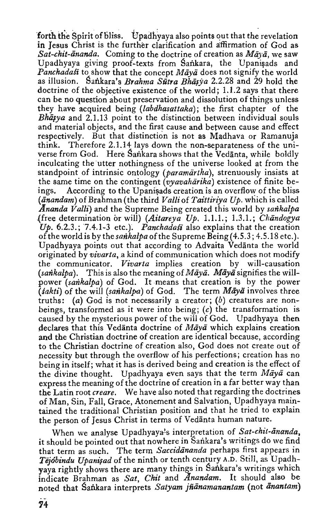forth the Spirit of bliss. Upadhyaya also points out that the revelation in Jesus Christ is the further clarification and affirmation of God as *Sat-chit-ananda.* Coming to the doctrine of creation as  $Mär\bar{a}$ , we saw Upadhyaya giving proof-texts from Sankara, the Upanisads and *Panchadasi* to show that the concept *Mava* does not signify the world as illusion. Sailkara's *Brahma Siitra Bhiijja* 2.2.28 and 29 hold the doctrine of the objective existence of the world; 1.1.2 says that there can be no question about preservation and dissolution of things unless they have acquired being *(labdhasattaka);* the first chapter of the *Bhasya* and 2.1.13 point to the distinction between individual souls and material objects, and the first cause and between cause and effect respectively. But that distinction is not as Madhava or Ramanuja think. Therefore 2.1.14 lays down the non-separateness of the universe from God. Here Sankara shows that the Vedanta, while boldly inculcating the utter nothingness of the universe looked at from the standpoint of intrinsic ontology (*paramārtha*), strenuously insists at the same time on the contingent *(vyavahārika)* existence of finite beings. According to the Upanisads creation is an overflow of the bliss (*anandam*) of Brahman (the third *Valli* of *Taittiriya Up.* which is called *Ananda Valli)* and the Supreme Being created this world by *satikalpa*  .(free determination or will) *(Aitanya Up.* 1.1.1.; 1.3.1.; *Chiindogya Up.* 6.2.3.; 7.4.1-3 etc.)~ *Panchadafi* also explains that the creation of the world is by *thesatikalpa* of the Supreme Being(4.5.3; 4.5.18 etc.). Upadhyaya points out that according to Advaita Vedanta the world originated by *vivarta,* .a kind of communication which does not modify the communicator. *Vivaria* implies creation by will-causation  $(sankalpa)$ . This is also the meaning of  $Māyā$ .  $Māyā$  signifies the willpower *(sankalpa)* of God. It means that creation is by the power (sakti) of the will *(sankalpa)* of God. The term *Maya* involves three truths: (a) God is not necessarily a creator; (b) creatures are nonbeings, transformed as it were into being;  $(c)$  the transformation is caused by the mysterious power of the will of God. Upadhyaya then declares that this Vedanta doctrine of *Maya* which explains creation and the Christian doctrine of creation are identical because, according to the Christian doctrine of creation also, God does not create out of necessity but through the overflow of his perfections; creation has no being in itself; what it has is derived being and creation is the effect of the divine thought. Upadhyaya even says that the term  $M \bar{a} \nu \bar{a}$  can express the meaning of the doctrine of creation in a far better way than the Latin root *creare.* We have also noted that regarding the doctrines of Man, Sin, Fall, Grace, Atonement and Salvation, Upadhyaya maintained the traditional Christian position and that he tried to explain the person of Jesus Christ in terms of Vedanta human nature.

When we analyse Upadhyaya's interpretation of Sat-chit-ananda, it should be pointed out that nowhere in Sankara's writings do we find that term as such. The term *Saccidananda* perhaps first appears in Tejóbindu Upanişad of the ninth or tenth century A.D. Still, as Upadhyaya rightly shows there are many things in Sankara's writings which indicate Brahman as Sat, Chit and *Anandam*. It should also be noted that Sailkara interprets *Satyam jfianamanantam* (not *iinantam)*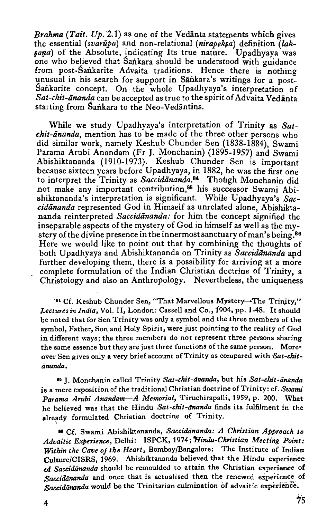*Brahma (Tait. Up.* 2.1) as one of the Vedanta statements which gives the essential *(svarupa)* and non-relational *(nirapeksa)* definition *(lak*sana) of the Absolute, indicating Its true nature. Upadhyaya was one who believed that Sankara should be understood with guidance from post-Sankarite Advaita traditions. Hence there is nothing unusual in his search for support in Sankara's writings for a post-Sankarite concept. On the whole Upadhyaya's interpretation of Sat-chit-ānanda can be accepted as true to the spirit of Advaita Vedānta starting from Sankara to the Neo-Vedantins.

While we study Upadhyaya's interpretation of Trinity as *Satchit-ananda*, mention has to be made of the three other persons who did similar work, namely Keshub Chunder Sen (1838-1884), Swami Parama Arubi Anandam (Fr J. Monchanin) (1895-1957) and Swami Abishiktananda (1910-1973). Keshub Chunder Sen is important because sixteen years before Upadhyaya, in 1882, he was the first one to interpret the Trinity as *Saccidananda*.<sup>84</sup> Though Monchanin did not make any important contribution,<sup>85</sup> his successor Swami Abishiktananda's interpretation is significant. While Upadhyaya's *Sac*cidananda represented God in Himself as unrelated alone, Abishiktananda reinterpreted *Saccidananda*: for him the concept signified the inseparable aspects of the mystery of God in himself as well as the mystery of the divine presence in the innermost sanctuary of man's being.<sup>86</sup> Here we would like to point out that by combining the thoughts of both Upadhyaya and Abishiktananda on Trinity as Saccidananda and further developing them, there is a possibility for arriving at a more complete formulation of the Indian Christian doctrine of Trinity, a Christology and also an Anthropology. Nevertheless, the uniqueness

<sup>84</sup> Cf. Keshub Chunder Sen, "That Marvellous Mystery-The Trinity," *Lectures in India,* Vol. II, London: Cassell and Co., 1904, pp. 1-48. It should be noted that for Sen Trinity was only a symbol and the three members of the symbol, Father, Son and Holy Spirit, were just pointing to the reality of God in different ways; the three members do not represent three persons sharing the same essence but they are just three functions of the same person. Moreover Sen gives only a very brief account of Trinity as compared with *Sat-chitiinanda.* 

•• J. Monchanin called Trinity *Sat-chit-iinanda,* but his *Sat-chit-iinanda*  is a mere exposition of the traditional Christian doctrine of Trinity: cf. *Swami Parama Arubi Anandam-A Memorial,* Tiruchirapalli, 1959, p. 200. What he believed was that the Hindu Sat-chit-ananda finds its fulfilment in the already formulated Christian doctrine of Trinity.

II Cf. Swami Abishiktananda, *Saccidiinanda: A Christian Approach to Advaitic Experience,* Delhi: ISPCK, 1974; *"Hindu-Christian Meeting Point: Within the Cave of the Heart,* Bombay/Bangalore: The Institute of Indian Culture/CISRS, 1969. Abishiktananda believed that the Hindu experience of *Saccidananda* should be remoulded to attain the Christian experience of Saccidananda and once that is actualised then the renewed experience of Saccidananda would be the Trinitarian culmination of advaitic experience.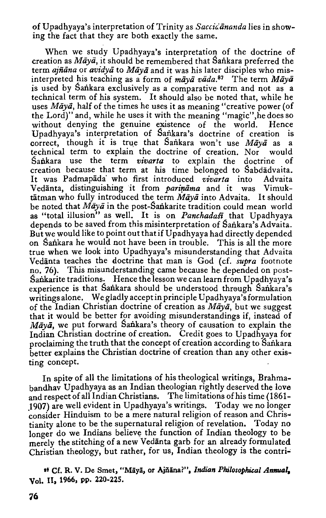of Upadhyaya's interpretation of Trinity as *Saccidananda* lies in showing the fact that they are both exactly the same.

When we study Upadhyaya's interpretation of the doctrine of creation as *Maya*, it should be remembered that Sankara preferred the term *ajñāna* or *avidyā* to *Māyā* and it was his later disciples who misinterpreted his teaching as a form of *maya* vada.<sup>87</sup> The term *Maya* is used by Sankara exclusively as a comparative term and not as a technical term of his system. It should also be noted that, while he uses *Māyā*, half of the times he uses it as meaning "creative power (of the Lord)" and, while he uses it with the meaning "magic",he does so without denying the genuine existence of the world. Hence Upadhyaya's interpretation of Sailkara's doctrine of creation is correct, though it is true that Sankara won't use *Māyā* as a technical term to explain the doctrine of creation. Nor would Sankara use the term *vivarta* to explain the doctrine of creation because that term at his time belonged to Sabdadvaita. It was Padmapada' who first introduced *vivarta* into Advaita Vedānta, distinguishing it from *parināma* and it was Vimuktatman who fully introduced the term *Maya* into Advaita. It should be noted that *Māyā* in the post-Sankarite tradition could mean world as "total illusion" as well. It is on *Panchadafi* that Upadhyaya depends to be saved from this misinterpretation of Sankara's Advaita. But we would like to point out that if Upadhyaya had directly depended on Sankara he would not have been in trouble. This is all the more true when we look into Upadhyaya's misunderstanding that Advaita Vedanta teaches the doctrine that man is God (cf. *supra* footnote no. 76). This misunderstanding came because he depended on post-Sankarite traditions. Hence the lesson we can learn from Upadhyaya's experience is that Sankara should be understood through Sankara's writings alone. We gladly accept in principle Upadhyaya's formulation of the Indian Christian doctrine of creation as *Maya,* but we suggest that it would be better for avoiding misunderstandings if, instead of *Māyā*, we put forward Sankara's theory of causation to explain the Indian Christian doctrine of creation. Credit goes to Upadhyaya for proclaiming the truth that the concept of creation according to Sankara better explains the Christian doctrine of creation than any other existing concept.

In spite of all the limitations of his theological writings, Brahmabandhav Upadhyaya as an Indian theologian rightly deserved the love and respect of all Indian Christians. The limitations of his time ( 1861- .1907) are well evident in Upadhyaya's writings. Today we no longer consider Hinduism to be a mere natural religion of reason and Christianity alone to be the supernatural religion of revelation. Today no longer do we Indians believe the function of Indian theology to be merely the stitching of a new Vedanta garb for an already formulated Christian theology, but rather, for us, Indian theology is the contri-'

 $*$  Cf. R. V. De Smet, "Māyā, or Ajñāna?", Indian Philosophical Annual. Vol. ll, 1966, pp. 220-225.